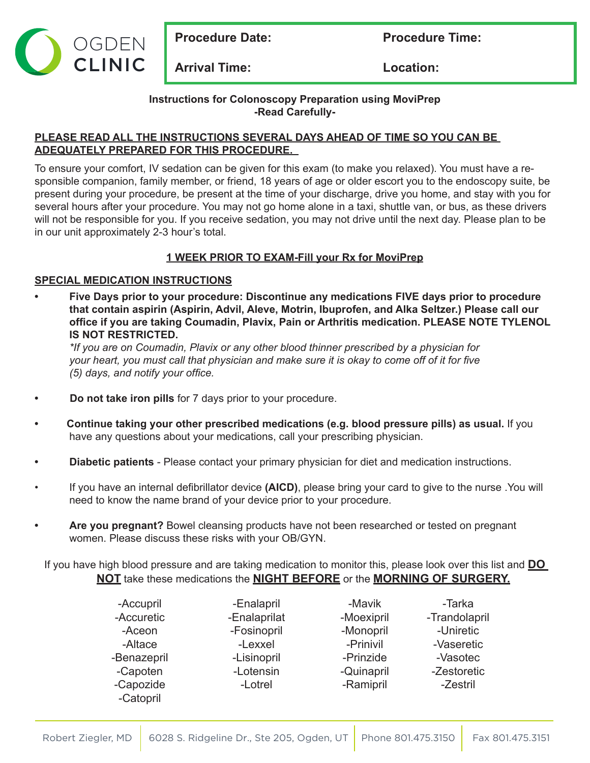

**Procedure Date:** Procedure Time:

**Arrival Time: Location:**

**Instructions for Colonoscopy Preparation using MoviPrep -Read Carefully-**

### **PLEASE READ ALL THE INSTRUCTIONS SEVERAL DAYS AHEAD OF TIME SO YOU CAN BE ADEQUATELY PREPARED FOR THIS PROCEDURE.**

To ensure your comfort, IV sedation can be given for this exam (to make you relaxed). You must have a responsible companion, family member, or friend, 18 years of age or older escort you to the endoscopy suite, be present during your procedure, be present at the time of your discharge, drive you home, and stay with you for several hours after your procedure. You may not go home alone in a taxi, shuttle van, or bus, as these drivers will not be responsible for you. If you receive sedation, you may not drive until the next day. Please plan to be in our unit approximately 2-3 hour's total.

# **1 WEEK PRIOR TO EXAM-Fill your Rx for MoviPrep**

## **SPECIAL MEDICATION INSTRUCTIONS**

**• Five Days prior to your procedure: Discontinue any medications FIVE days prior to procedure that contain aspirin (Aspirin, Advil, Aleve, Motrin, Ibuprofen, and Alka Seltzer.) Please call our office if you are taking Coumadin, Plavix, Pain or Arthritis medication. PLEASE NOTE TYLENOL IS NOT RESTRICTED.**

*\*If you are on Coumadin, Plavix or any other blood thinner prescribed by a physician for* your heart, you must call that physician and make sure it is okay to come off of it for five *(5) days, and notify your office.*

- **• Do not take iron pills** for 7 days prior to your procedure.
- **• Continue taking your other prescribed medications (e.g. blood pressure pills) as usual.** If you have any questions about your medications, call your prescribing physician.
- **• Diabetic patients**  Please contact your primary physician for diet and medication instructions.
- If you have an internal defibrillator device **(AICD)**, please bring your card to give to the nurse .You will need to know the name brand of your device prior to your procedure.
- **• Are you pregnant?** Bowel cleansing products have not been researched or tested on pregnant women. Please discuss these risks with your OB/GYN.

If you have high blood pressure and are taking medication to monitor this, please look over this list and **DO NOT** take these medications the **NIGHT BEFORE** or the **MORNING OF SURGERY.**

| -Accupril   | -Enalapril   | -Mavik     | -Tarka        |
|-------------|--------------|------------|---------------|
| -Accuretic  | -Enalaprilat | -Moexipril | -Trandolapril |
| -Aceon      | -Fosinopril  | -Monopril  | -Uniretic     |
| -Altace     | -Lexxel      | -Prinivil  | -Vaseretic    |
| -Benazepril | -Lisinopril  | -Prinzide  | -Vasotec      |
| -Capoten    | -Lotensin    | -Quinapril | -Zestoretic   |
| -Capozide   | -Lotrel      | -Ramipril  | -Zestril      |
| -Catopril   |              |            |               |